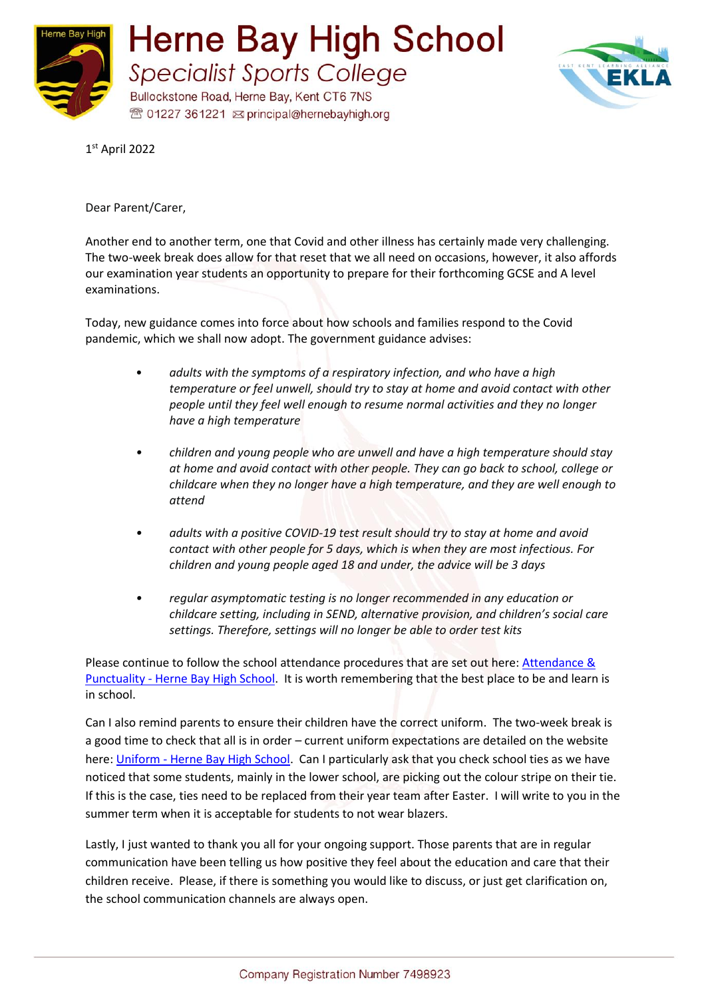



1 st April 2022

Dear Parent/Carer,

Another end to another term, one that Covid and other illness has certainly made very challenging. The two-week break does allow for that reset that we all need on occasions, however, it also affords our examination year students an opportunity to prepare for their forthcoming GCSE and A level examinations.

Today, new guidance comes into force about how schools and families respond to the Covid pandemic, which we shall now adopt. The government guidance advises:

- *adults with the symptoms of a respiratory infection, and who have a high temperature or feel unwell, should try to stay at home and avoid contact with other people until they feel well enough to resume normal activities and they no longer have a high temperature*
- *• children and young people who are unwell and have a high temperature should stay at home and avoid contact with other people. They can go back to school, college or childcare when they no longer have a high temperature, and they are well enough to attend*
- *• adults with a positive COVID-19 test result should try to stay at home and avoid contact with other people for 5 days, which is when they are most infectious. For children and young people aged 18 and under, the advice will be 3 days*
- *• regular asymptomatic testing is no longer recommended in any education or childcare setting, including in SEND, alternative provision, and children's social care settings. Therefore, settings will no longer be able to order test kits*

Please continue to follow the school attendance procedures that are set out here[: Attendance &](https://www.hernebayhigh.org/our-school/attendance-and-punctuality/)  Punctuality - [Herne Bay High School.](https://www.hernebayhigh.org/our-school/attendance-and-punctuality/) It is worth remembering that the best place to be and learn is in school.

Can I also remind parents to ensure their children have the correct uniform. The two-week break is a good time to check that all is in order – current uniform expectations are detailed on the website here: Uniform - [Herne Bay High School.](https://www.hernebayhigh.org/our-school/uniform/) Can I particularly ask that you check school ties as we have noticed that some students, mainly in the lower school, are picking out the colour stripe on their tie. If this is the case, ties need to be replaced from their year team after Easter. I will write to you in the summer term when it is acceptable for students to not wear blazers.

Lastly, I just wanted to thank you all for your ongoing support. Those parents that are in regular communication have been telling us how positive they feel about the education and care that their children receive. Please, if there is something you would like to discuss, or just get clarification on, the school communication channels are always open.